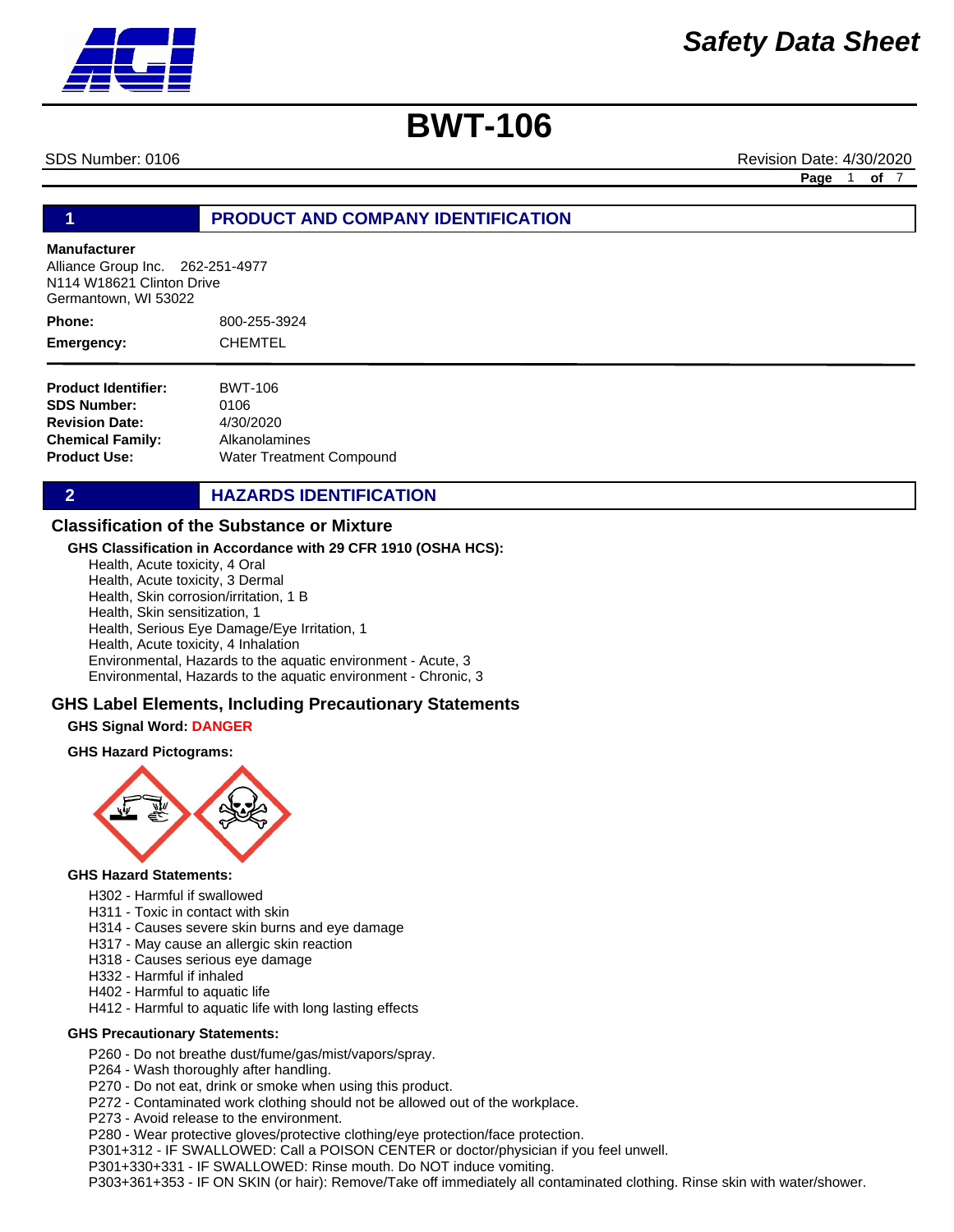SDS Number: 0106 Revision Date: 4/30/2020 **Page** 1 **of** 7

## **1 PRODUCT AND COMPANY IDENTIFICATION**

#### **Manufacturer**

Alliance Group Inc. 262-251-4977 N114 W18621 Clinton Drive Germantown, WI 53022

800-255-3924 CHEMTEL **Phone: Emergency:**

**Product Identifier: SDS Number: Revision Date: Chemical Family: Product Use:** BWT-106 0106 4/30/2020 Alkanolamines Water Treatment Compound

**2 HAZARDS IDENTIFICATION** 

### **Classification of the Substance or Mixture**

#### **GHS Classification in Accordance with 29 CFR 1910 (OSHA HCS):**

Health, Acute toxicity, 4 Oral Health, Acute toxicity, 3 Dermal Health, Skin corrosion/irritation, 1 B Health, Skin sensitization, 1 Health, Serious Eye Damage/Eye Irritation, 1 Health, Acute toxicity, 4 Inhalation Environmental, Hazards to the aquatic environment - Acute, 3 Environmental, Hazards to the aquatic environment - Chronic, 3

### **GHS Label Elements, Including Precautionary Statements**

#### **GHS Signal Word: DANGER**

#### **GHS Hazard Pictograms:**



#### **GHS Hazard Statements:**

- H302 Harmful if swallowed
- H311 Toxic in contact with skin
- H314 Causes severe skin burns and eye damage
- H317 May cause an allergic skin reaction
- H318 Causes serious eye damage
- H332 Harmful if inhaled
- H402 Harmful to aquatic life
- H412 Harmful to aquatic life with long lasting effects

#### **GHS Precautionary Statements:**

P260 - Do not breathe dust/fume/gas/mist/vapors/spray.

P264 - Wash thoroughly after handling.

P270 - Do not eat, drink or smoke when using this product.

P272 - Contaminated work clothing should not be allowed out of the workplace.

P273 - Avoid release to the environment.

P280 - Wear protective gloves/protective clothing/eye protection/face protection.

P301+312 - IF SWALLOWED: Call a POISON CENTER or doctor/physician if you feel unwell.

P301+330+331 - IF SWALLOWED: Rinse mouth. Do NOT induce vomiting.

P303+361+353 - IF ON SKIN (or hair): Remove/Take off immediately all contaminated clothing. Rinse skin with water/shower.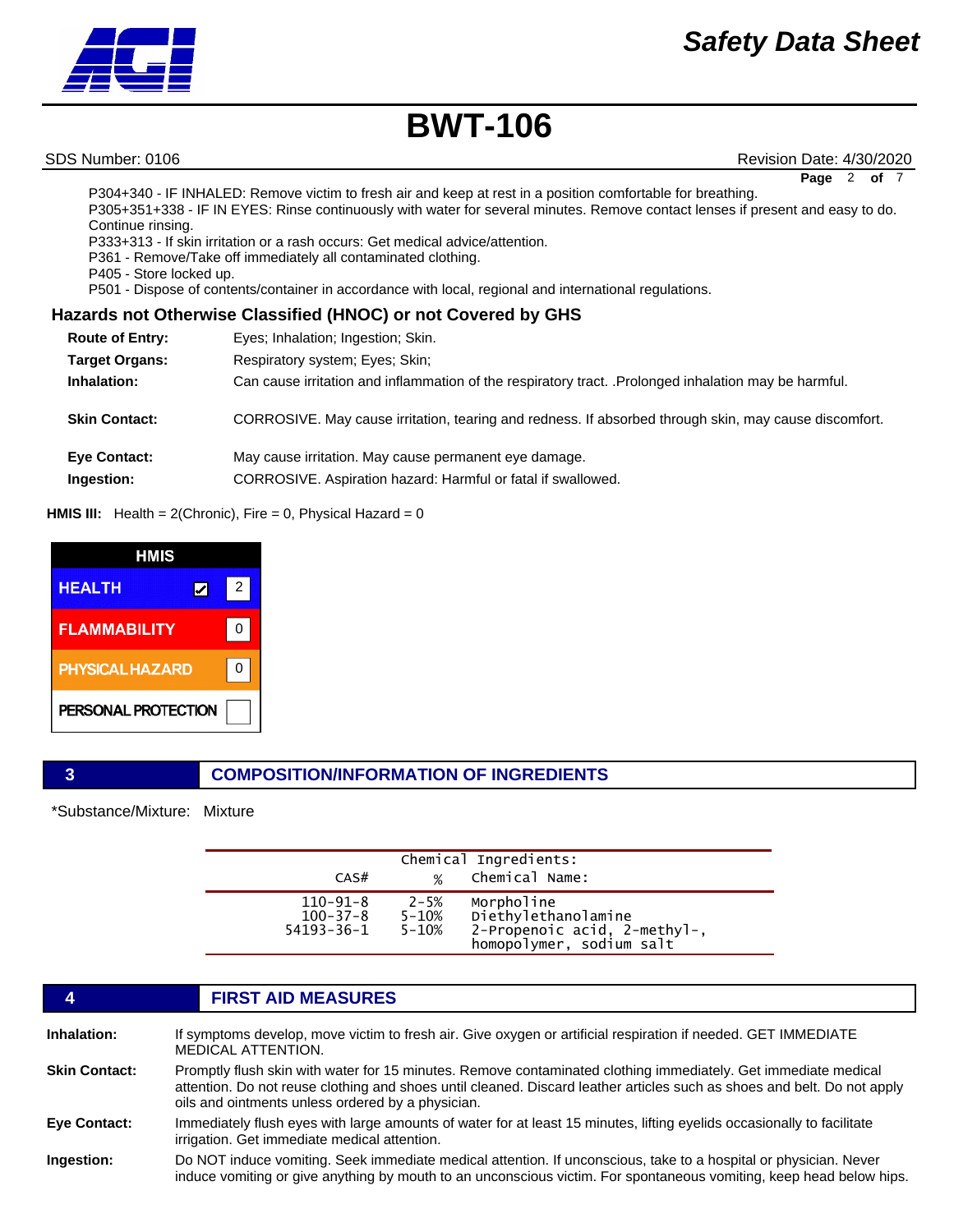SDS Number: 0106 Revision Date: 4/30/2020

**Page** 2 of

P304+340 - IF INHALED: Remove victim to fresh air and keep at rest in a position comfortable for breathing. P305+351+338 - IF IN EYES: Rinse continuously with water for several minutes. Remove contact lenses if present and easy to do. Continue rinsing.

P333+313 - If skin irritation or a rash occurs: Get medical advice/attention.

P361 - Remove/Take off immediately all contaminated clothing.

P405 - Store locked up.

P501 - Dispose of contents/container in accordance with local, regional and international regulations.

## **Hazards not Otherwise Classified (HNOC) or not Covered by GHS**

| <b>Route of Entry:</b> | Eyes; Inhalation; Ingestion; Skin.                                                                     |
|------------------------|--------------------------------------------------------------------------------------------------------|
| <b>Target Organs:</b>  | Respiratory system; Eyes; Skin;                                                                        |
| Inhalation:            | Can cause irritation and inflammation of the respiratory tract. . Prolonged inhalation may be harmful. |
| <b>Skin Contact:</b>   | CORROSIVE. May cause irritation, tearing and redness. If absorbed through skin, may cause discomfort.  |
| <b>Eye Contact:</b>    | May cause irritation. May cause permanent eye damage.                                                  |
| Ingestion:             | CORROSIVE. Aspiration hazard: Harmful or fatal if swallowed.                                           |

**HMIS III:** Health = 2(Chronic), Fire = 0, Physical Hazard = 0

| HMIS                   |        |  |
|------------------------|--------|--|
| <b>HEALTH</b>          | 2<br>V |  |
| <b>FLAMMABILITY</b>    |        |  |
| <b>PHYSICAL HAZARD</b> |        |  |
| PERSONAL PROTECTION    |        |  |

# **3 COMPOSITION/INFORMATION OF INGREDIENTS**

\*Substance/Mixture: Mixture

|                                                      |                                    | Chemical Ingredients:                                                                         |
|------------------------------------------------------|------------------------------------|-----------------------------------------------------------------------------------------------|
| CAS#                                                 | $\frac{1}{2}$                      | Chemical Name:                                                                                |
| $110 - 91 - 8$<br>$100 - 37 - 8$<br>$54193 - 36 - 1$ | $2 - 5%$<br>$5 - 10%$<br>$5 - 10%$ | Morpholine<br>Diethylethanolamine<br>2-Propenoic acid, 2-methyl-,<br>homopolymer, sodium salt |

### **4 FIRST AID MEASURES Inhalation:** If symptoms develop, move victim to fresh air. Give oxygen or artificial respiration if needed. GET IMMEDIATE MEDICAL ATTENTION. **Skin Contact:** Promptly flush skin with water for 15 minutes. Remove contaminated clothing immediately. Get immediate medical attention. Do not reuse clothing and shoes until cleaned. Discard leather articles such as shoes and belt. Do not apply oils and ointments unless ordered by a physician. **Eye Contact:** Immediately flush eyes with large amounts of water for at least 15 minutes, lifting eyelids occasionally to facilitate irrigation. Get immediate medical attention. **Ingestion:** Do NOT induce vomiting. Seek immediate medical attention. If unconscious, take to a hospital or physician. Never induce vomiting or give anything by mouth to an unconscious victim. For spontaneous vomiting, keep head below hips.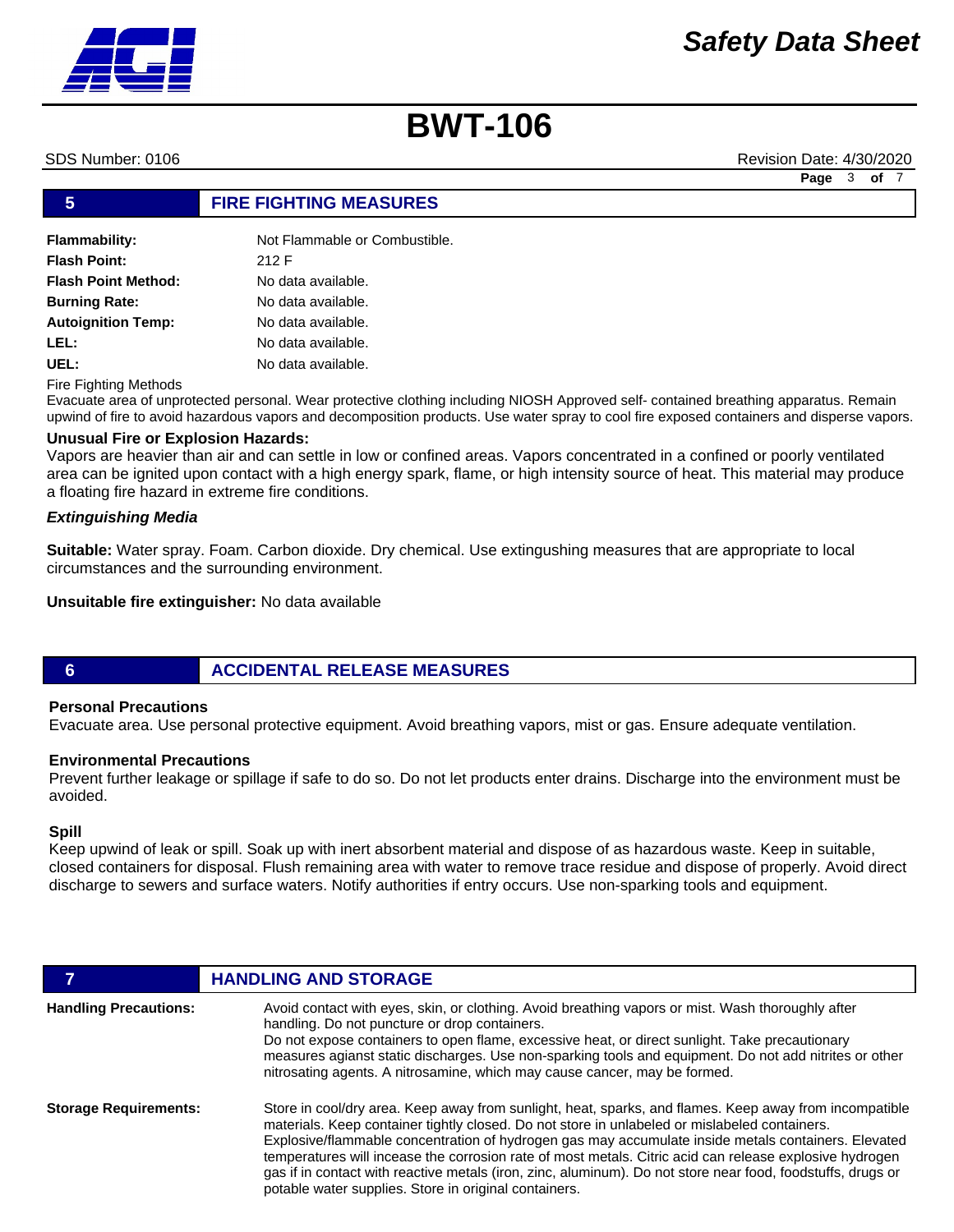SDS Number: 0106 Revision Date: 4/30/2020

| 5                          | <b>FIRE FIGHTING MEASURES</b> |
|----------------------------|-------------------------------|
|                            |                               |
| Flammability:              | Not Flammable or Combustible. |
| <b>Flash Point:</b>        | 212 F                         |
| <b>Flash Point Method:</b> | No data available.            |
| <b>Burning Rate:</b>       | No data available.            |
| <b>Autoignition Temp:</b>  | No data available.            |
| LEL:                       | No data available.            |
| UEL:                       | No data available.            |

Fire Fighting Methods

Evacuate area of unprotected personal. Wear protective clothing including NIOSH Approved self- contained breathing apparatus. Remain upwind of fire to avoid hazardous vapors and decomposition products. Use water spray to cool fire exposed containers and disperse vapors.

### **Unusual Fire or Explosion Hazards:**

Vapors are heavier than air and can settle in low or confined areas. Vapors concentrated in a confined or poorly ventilated area can be ignited upon contact with a high energy spark, flame, or high intensity source of heat. This material may produce a floating fire hazard in extreme fire conditions.

### *Extinguishing Media*

**Suitable:** Water spray. Foam. Carbon dioxide. Dry chemical. Use extingushing measures that are appropriate to local circumstances and the surrounding environment.

#### **Unsuitable fire extinguisher:** No data available

### **6 ACCIDENTAL RELEASE MEASURES**

#### **Personal Precautions**

Evacuate area. Use personal protective equipment. Avoid breathing vapors, mist or gas. Ensure adequate ventilation.

### **Environmental Precautions**

Prevent further leakage or spillage if safe to do so. Do not let products enter drains. Discharge into the environment must be avoided.

#### **Spill**

Keep upwind of leak or spill. Soak up with inert absorbent material and dispose of as hazardous waste. Keep in suitable, closed containers for disposal. Flush remaining area with water to remove trace residue and dispose of properly. Avoid direct discharge to sewers and surface waters. Notify authorities if entry occurs. Use non-sparking tools and equipment.

|                              | <b>HANDLING AND STORAGE</b>                                                                                                                                                                                                                                                                                                                                                                                                                                                                                                                                                                       |
|------------------------------|---------------------------------------------------------------------------------------------------------------------------------------------------------------------------------------------------------------------------------------------------------------------------------------------------------------------------------------------------------------------------------------------------------------------------------------------------------------------------------------------------------------------------------------------------------------------------------------------------|
| <b>Handling Precautions:</b> | Avoid contact with eyes, skin, or clothing. Avoid breathing vapors or mist. Wash thoroughly after<br>handling. Do not puncture or drop containers.<br>Do not expose containers to open flame, excessive heat, or direct sunlight. Take precautionary<br>measures agianst static discharges. Use non-sparking tools and equipment. Do not add nitrites or other<br>nitrosating agents. A nitrosamine, which may cause cancer, may be formed.                                                                                                                                                       |
| <b>Storage Requirements:</b> | Store in cool/dry area. Keep away from sunlight, heat, sparks, and flames. Keep away from incompatible<br>materials. Keep container tightly closed. Do not store in unlabeled or mislabeled containers.<br>Explosive/flammable concentration of hydrogen gas may accumulate inside metals containers. Elevated<br>temperatures will incease the corrosion rate of most metals. Citric acid can release explosive hydrogen<br>gas if in contact with reactive metals (iron, zinc, aluminum). Do not store near food, foodstuffs, drugs or<br>potable water supplies. Store in original containers. |

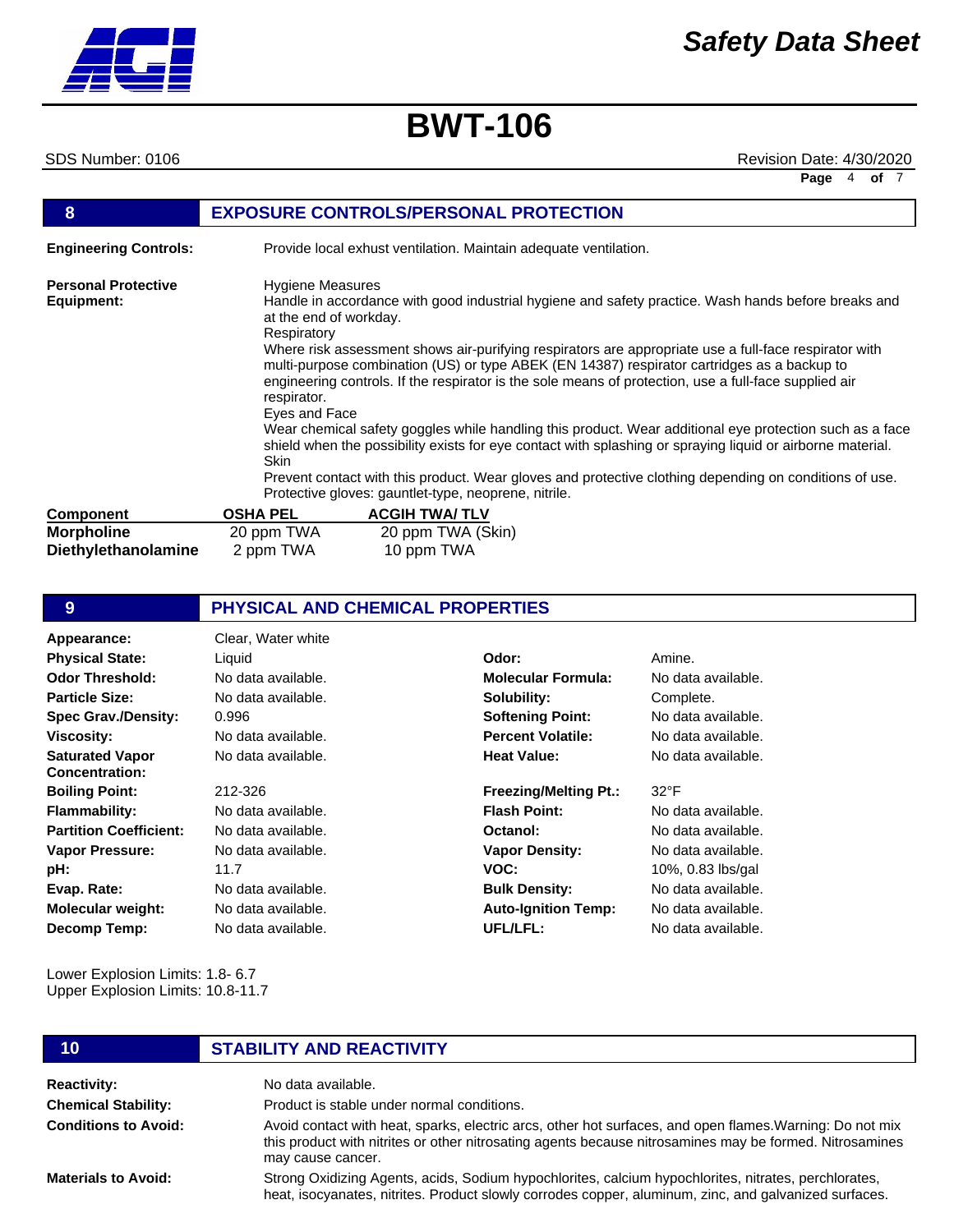# *Safety Data Sheet*

**Page** 4 **of** 7

# **BWT-106**

**Chemical Stability: Conditions to Avoid:**

**Materials to Avoid:**

SDS Number: 0106 Revision Date: 4/30/2020

| 8                                        |                                                                                                          | <b>EXPOSURE CONTROLS/PERSONAL PROTECTION</b>                                                                                                                                                                                                                                                                                                                                                                                                                                                                                                                                                                                                                                                                                                                                                                    |
|------------------------------------------|----------------------------------------------------------------------------------------------------------|-----------------------------------------------------------------------------------------------------------------------------------------------------------------------------------------------------------------------------------------------------------------------------------------------------------------------------------------------------------------------------------------------------------------------------------------------------------------------------------------------------------------------------------------------------------------------------------------------------------------------------------------------------------------------------------------------------------------------------------------------------------------------------------------------------------------|
| <b>Engineering Controls:</b>             |                                                                                                          | Provide local exhust ventilation. Maintain adequate ventilation.                                                                                                                                                                                                                                                                                                                                                                                                                                                                                                                                                                                                                                                                                                                                                |
| <b>Personal Protective</b><br>Equipment: | Hygiene Measures<br>at the end of workday.<br>Respiratory<br>respirator.<br>Eyes and Face<br><b>Skin</b> | Handle in accordance with good industrial hygiene and safety practice. Wash hands before breaks and<br>Where risk assessment shows air-purifying respirators are appropriate use a full-face respirator with<br>multi-purpose combination (US) or type ABEK (EN 14387) respirator cartridges as a backup to<br>engineering controls. If the respirator is the sole means of protection, use a full-face supplied air<br>Wear chemical safety goggles while handling this product. Wear additional eye protection such as a face<br>shield when the possibility exists for eye contact with splashing or spraying liquid or airborne material.<br>Prevent contact with this product. Wear gloves and protective clothing depending on conditions of use.<br>Protective gloves: gauntlet-type, neoprene, nitrile. |
| <b>Component</b>                         | <b>OSHA PEL</b>                                                                                          | <b>ACGIH TWA/TLV</b>                                                                                                                                                                                                                                                                                                                                                                                                                                                                                                                                                                                                                                                                                                                                                                                            |
| <b>Morpholine</b><br>Diethylethanolamine | 20 ppm TWA<br>2 ppm TWA                                                                                  | 20 ppm TWA (Skin)<br>10 ppm TWA                                                                                                                                                                                                                                                                                                                                                                                                                                                                                                                                                                                                                                                                                                                                                                                 |

| 9                                               | <b>PHYSICAL AND CHEMICAL PROPERTIES</b> |                              |                    |  |
|-------------------------------------------------|-----------------------------------------|------------------------------|--------------------|--|
| Appearance:                                     | Clear, Water white                      |                              |                    |  |
| <b>Physical State:</b>                          | Liquid                                  | Odor:                        | Amine.             |  |
| <b>Odor Threshold:</b>                          | No data available.                      | <b>Molecular Formula:</b>    | No data available. |  |
| <b>Particle Size:</b>                           | No data available.                      | Solubility:                  | Complete.          |  |
| <b>Spec Grav./Density:</b>                      | 0.996                                   | <b>Softening Point:</b>      | No data available. |  |
| <b>Viscosity:</b>                               | No data available.                      | <b>Percent Volatile:</b>     | No data available. |  |
| <b>Saturated Vapor</b><br><b>Concentration:</b> | No data available.                      | <b>Heat Value:</b>           | No data available. |  |
| <b>Boiling Point:</b>                           | 212-326                                 | <b>Freezing/Melting Pt.:</b> | $32^{\circ}$ F     |  |
| <b>Flammability:</b>                            | No data available.                      | <b>Flash Point:</b>          | No data available. |  |
| <b>Partition Coefficient:</b>                   | No data available.                      | Octanol:                     | No data available. |  |
| <b>Vapor Pressure:</b>                          | No data available.                      | <b>Vapor Density:</b>        | No data available. |  |
| pH:                                             | 11.7                                    | VOC:                         | 10%, 0.83 lbs/gal  |  |
| Evap. Rate:                                     | No data available.                      | <b>Bulk Density:</b>         | No data available. |  |
| <b>Molecular weight:</b>                        | No data available.                      | <b>Auto-Ignition Temp:</b>   | No data available. |  |
| Decomp Temp:                                    | No data available.                      | UFL/LFL:                     | No data available. |  |
| Lower Explosion Limits: 1.8- 6.7                |                                         |                              |                    |  |

Upper Explosion Limits: 10.8-11.7

# **10 STABILITY AND REACTIVITY**

**Reactivity:** No data available.

Product is stable under normal conditions.

Avoid contact with heat, sparks, electric arcs, other hot surfaces, and open flames.Warning: Do not mix this product with nitrites or other nitrosating agents because nitrosamines may be formed. Nitrosamines may cause cancer.

Strong Oxidizing Agents, acids, Sodium hypochlorites, calcium hypochlorites, nitrates, perchlorates, heat, isocyanates, nitrites. Product slowly corrodes copper, aluminum, zinc, and galvanized surfaces.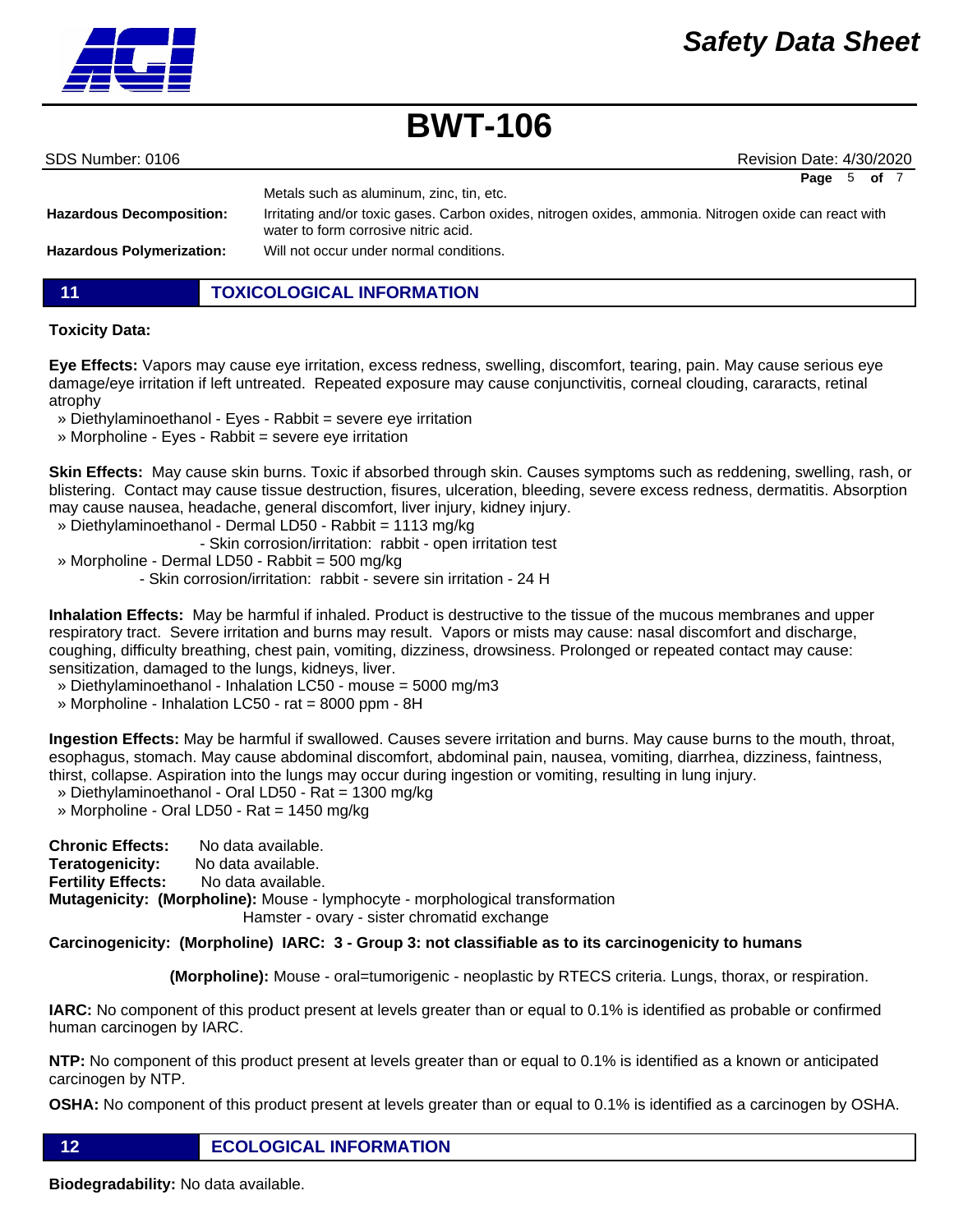

| SDS Number: 0106 |  |  |
|------------------|--|--|

Revision Date: 4/30/2020 **Page** 5 **of** 7

|                                  | Metals such as aluminum, zinc, tin, etc.                                                                                                      |
|----------------------------------|-----------------------------------------------------------------------------------------------------------------------------------------------|
| <b>Hazardous Decomposition:</b>  | Irritating and/or toxic gases. Carbon oxides, nitrogen oxides, ammonia. Nitrogen oxide can react with<br>water to form corrosive nitric acid. |
| <b>Hazardous Polymerization:</b> | Will not occur under normal conditions.                                                                                                       |

**11 TOXICOLOGICAL INFORMATION**

## **Toxicity Data:**

**Eye Effects:** Vapors may cause eye irritation, excess redness, swelling, discomfort, tearing, pain. May cause serious eye damage/eye irritation if left untreated. Repeated exposure may cause conjunctivitis, corneal clouding, cararacts, retinal atrophy

- » Diethylaminoethanol Eyes Rabbit = severe eye irritation
- » Morpholine Eyes Rabbit = severe eye irritation

**Skin Effects:** May cause skin burns. Toxic if absorbed through skin. Causes symptoms such as reddening, swelling, rash, or blistering. Contact may cause tissue destruction, fisures, ulceration, bleeding, severe excess redness, dermatitis. Absorption may cause nausea, headache, general discomfort, liver injury, kidney injury.

» Diethylaminoethanol - Dermal LD50 - Rabbit = 1113 mg/kg

- Skin corrosion/irritation: rabbit - open irritation test

» Morpholine - Dermal LD50 - Rabbit = 500 mg/kg

- Skin corrosion/irritation: rabbit - severe sin irritation - 24 H

**Inhalation Effects:** May be harmful if inhaled. Product is destructive to the tissue of the mucous membranes and upper respiratory tract. Severe irritation and burns may result. Vapors or mists may cause: nasal discomfort and discharge, coughing, difficulty breathing, chest pain, vomiting, dizziness, drowsiness. Prolonged or repeated contact may cause: sensitization, damaged to the lungs, kidneys, liver.

- » Diethylaminoethanol Inhalation LC50 mouse = 5000 mg/m3
- » Morpholine Inhalation LC50 rat = 8000 ppm 8H

**Ingestion Effects:** May be harmful if swallowed. Causes severe irritation and burns. May cause burns to the mouth, throat, esophagus, stomach. May cause abdominal discomfort, abdominal pain, nausea, vomiting, diarrhea, dizziness, faintness, thirst, collapse. Aspiration into the lungs may occur during ingestion or vomiting, resulting in lung injury.

- » Diethylaminoethanol Oral LD50 Rat = 1300 mg/kg
- » Morpholine Oral LD50 Rat = 1450 mg/kg

**Chronic Effects:** No data available. **Teratogenicity:** No data available. **Fertility Effects:** No data available. **Mutagenicity: (Morpholine):** Mouse - lymphocyte - morphological transformation Hamster - ovary - sister chromatid exchange

### **Carcinogenicity: (Morpholine) IARC: 3 - Group 3: not classifiable as to its carcinogenicity to humans**

 **(Morpholine):** Mouse - oral=tumorigenic - neoplastic by RTECS criteria. Lungs, thorax, or respiration.

**IARC:** No component of this product present at levels greater than or equal to 0.1% is identified as probable or confirmed human carcinogen by IARC.

**NTP:** No component of this product present at levels greater than or equal to 0.1% is identified as a known or anticipated carcinogen by NTP.

**OSHA:** No component of this product present at levels greater than or equal to 0.1% is identified as a carcinogen by OSHA.

**12 ECOLOGICAL INFORMATION** 

**Biodegradability:** No data available.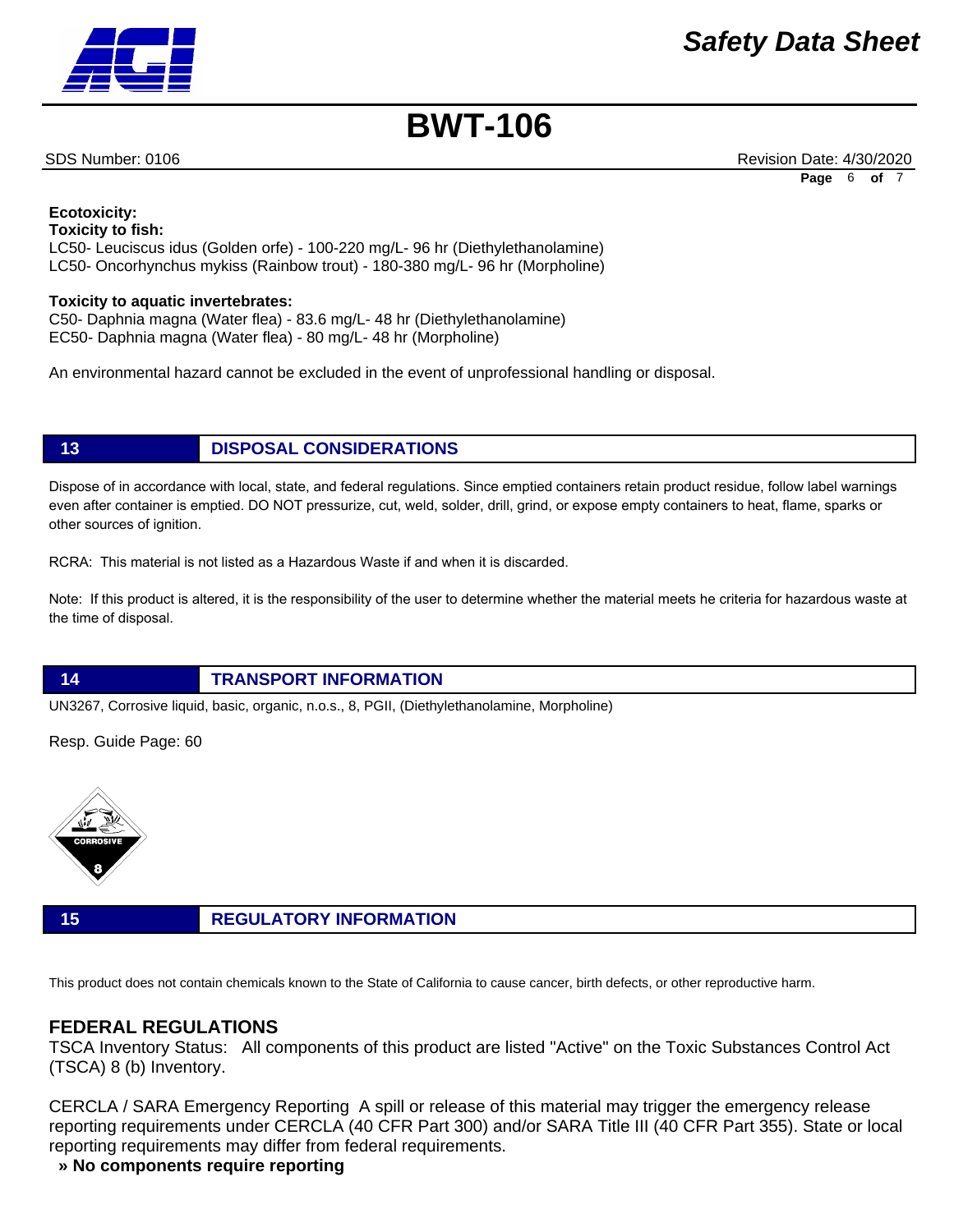

SDS Number: 0106 Revision Date: 4/30/2020 **Page** 6 **of** 7

#### **Ecotoxicity: Toxicity to fish:**

LC50- Leuciscus idus (Golden orfe) - 100-220 mg/L- 96 hr (Diethylethanolamine) LC50- Oncorhynchus mykiss (Rainbow trout) - 180-380 mg/L- 96 hr (Morpholine)

### **Toxicity to aquatic invertebrates:**

C50- Daphnia magna (Water flea) - 83.6 mg/L- 48 hr (Diethylethanolamine) EC50- Daphnia magna (Water flea) - 80 mg/L- 48 hr (Morpholine)

An environmental hazard cannot be excluded in the event of unprofessional handling or disposal.

# **13 DISPOSAL CONSIDERATIONS**

Dispose of in accordance with local, state, and federal regulations. Since emptied containers retain product residue, follow label warnings even after container is emptied. DO NOT pressurize, cut, weld, solder, drill, grind, or expose empty containers to heat, flame, sparks or other sources of ignition.

RCRA: This material is not listed as a Hazardous Waste if and when it is discarded.

Note: If this product is altered, it is the responsibility of the user to determine whether the material meets he criteria for hazardous waste at the time of disposal.

# **14 TRANSPORT INFORMATION**

UN3267, Corrosive liquid, basic, organic, n.o.s., 8, PGII, (Diethylethanolamine, Morpholine)

Resp. Guide Page: 60



# **15 REGULATORY INFORMATION**

This product does not contain chemicals known to the State of California to cause cancer, birth defects, or other reproductive harm.

# **FEDERAL REGULATIONS**

TSCA Inventory Status: All components of this product are listed "Active" on the Toxic Substances Control Act (TSCA) 8 (b) Inventory.

CERCLA / SARA Emergency Reporting A spill or release of this material may trigger the emergency release reporting requirements under CERCLA (40 CFR Part 300) and/or SARA Title III (40 CFR Part 355). State or local reporting requirements may differ from federal requirements.

## **» No components require reporting**